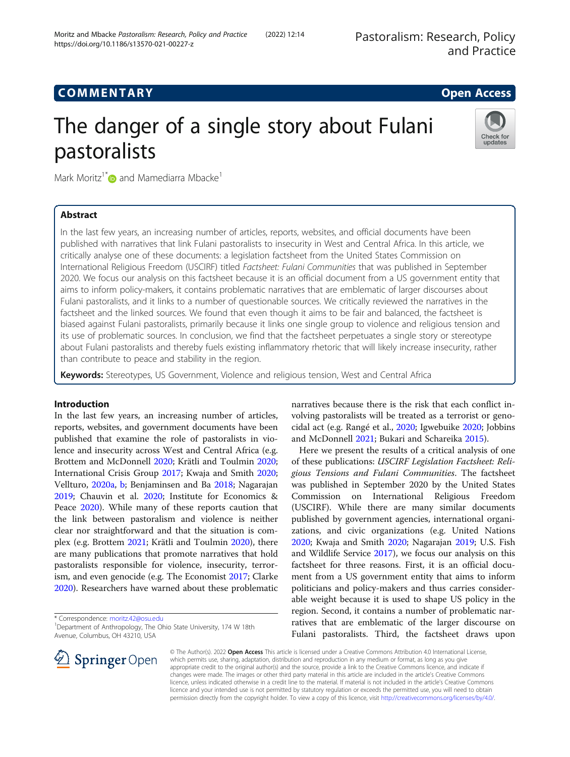## COMM EN TARY Open Access

# The danger of a single story about Fulani pastoralists



Mark Moritz<sup>1\*</sup> and Mamediarra Mbacke<sup>1</sup>

## Abstract

In the last few years, an increasing number of articles, reports, websites, and official documents have been published with narratives that link Fulani pastoralists to insecurity in West and Central Africa. In this article, we critically analyse one of these documents: a legislation factsheet from the United States Commission on International Religious Freedom (USCIRF) titled Factsheet: Fulani Communities that was published in September 2020. We focus our analysis on this factsheet because it is an official document from a US government entity that aims to inform policy-makers, it contains problematic narratives that are emblematic of larger discourses about Fulani pastoralists, and it links to a number of questionable sources. We critically reviewed the narratives in the factsheet and the linked sources. We found that even though it aims to be fair and balanced, the factsheet is biased against Fulani pastoralists, primarily because it links one single group to violence and religious tension and its use of problematic sources. In conclusion, we find that the factsheet perpetuates a single story or stereotype about Fulani pastoralists and thereby fuels existing inflammatory rhetoric that will likely increase insecurity, rather than contribute to peace and stability in the region.

Keywords: Stereotypes, US Government, Violence and religious tension, West and Central Africa

## Introduction

In the last few years, an increasing number of articles, reports, websites, and government documents have been published that examine the role of pastoralists in violence and insecurity across West and Central Africa (e.g. Brottem and McDonnell [2020](#page-8-0); Krätli and Toulmin [2020](#page-9-0); International Crisis Group [2017](#page-8-0); Kwaja and Smith [2020](#page-9-0); Vellturo, [2020a,](#page-9-0) [b;](#page-9-0) Benjaminsen and Ba [2018;](#page-8-0) Nagarajan [2019](#page-9-0); Chauvin et al. [2020;](#page-8-0) Institute for Economics & Peace [2020\)](#page-8-0). While many of these reports caution that the link between pastoralism and violence is neither clear nor straightforward and that the situation is complex (e.g. Brottem [2021;](#page-8-0) Krätli and Toulmin [2020](#page-9-0)), there are many publications that promote narratives that hold pastoralists responsible for violence, insecurity, terrorism, and even genocide (e.g. The Economist [2017;](#page-9-0) Clarke [2020](#page-8-0)). Researchers have warned about these problematic

\* Correspondence: [moritz.42@osu.edu](mailto:moritz.42@osu.edu) <sup>1</sup>

<sup>1</sup>Department of Anthropology, The Ohio State University, 174 W 18th Avenue, Columbus, OH 43210, USA



narratives because there is the risk that each conflict involving pastoralists will be treated as a terrorist or genocidal act (e.g. Rangé et al., [2020;](#page-9-0) Igwebuike [2020](#page-8-0); Jobbins and McDonnell [2021](#page-9-0); Bukari and Schareika [2015\)](#page-8-0).

Here we present the results of a critical analysis of one of these publications: USCIRF Legislation Factsheet: Religious Tensions and Fulani Communities. The factsheet was published in September 2020 by the United States Commission on International Religious Freedom (USCIRF). While there are many similar documents published by government agencies, international organizations, and civic organizations (e.g. United Nations [2020](#page-9-0); Kwaja and Smith [2020](#page-9-0); Nagarajan [2019;](#page-9-0) U.S. Fish and Wildlife Service [2017\)](#page-9-0), we focus our analysis on this factsheet for three reasons. First, it is an official document from a US government entity that aims to inform politicians and policy-makers and thus carries considerable weight because it is used to shape US policy in the region. Second, it contains a number of problematic narratives that are emblematic of the larger discourse on Fulani pastoralists. Third, the factsheet draws upon

© The Author(s). 2022 Open Access This article is licensed under a Creative Commons Attribution 4.0 International License, which permits use, sharing, adaptation, distribution and reproduction in any medium or format, as long as you give appropriate credit to the original author(s) and the source, provide a link to the Creative Commons licence, and indicate if changes were made. The images or other third party material in this article are included in the article's Creative Commons licence, unless indicated otherwise in a credit line to the material. If material is not included in the article's Creative Commons licence and your intended use is not permitted by statutory regulation or exceeds the permitted use, you will need to obtain permission directly from the copyright holder. To view a copy of this licence, visit <http://creativecommons.org/licenses/by/4.0/>.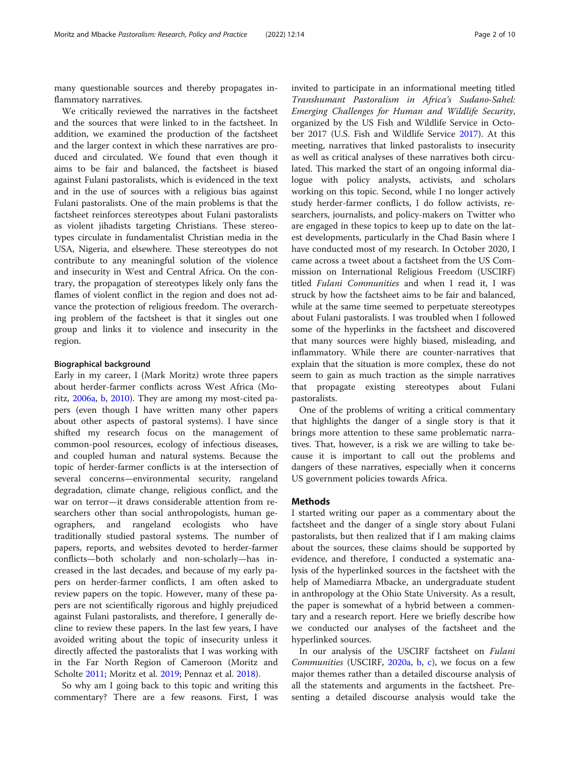many questionable sources and thereby propagates inflammatory narratives.

We critically reviewed the narratives in the factsheet and the sources that were linked to in the factsheet. In addition, we examined the production of the factsheet and the larger context in which these narratives are produced and circulated. We found that even though it aims to be fair and balanced, the factsheet is biased against Fulani pastoralists, which is evidenced in the text and in the use of sources with a religious bias against Fulani pastoralists. One of the main problems is that the factsheet reinforces stereotypes about Fulani pastoralists as violent jihadists targeting Christians. These stereotypes circulate in fundamentalist Christian media in the USA, Nigeria, and elsewhere. These stereotypes do not contribute to any meaningful solution of the violence and insecurity in West and Central Africa. On the contrary, the propagation of stereotypes likely only fans the flames of violent conflict in the region and does not advance the protection of religious freedom. The overarching problem of the factsheet is that it singles out one group and links it to violence and insecurity in the region.

### Biographical background

Early in my career, I (Mark Moritz) wrote three papers about herder-farmer conflicts across West Africa (Moritz, [2006a,](#page-9-0) [b](#page-9-0), [2010](#page-9-0)). They are among my most-cited papers (even though I have written many other papers about other aspects of pastoral systems). I have since shifted my research focus on the management of common-pool resources, ecology of infectious diseases, and coupled human and natural systems. Because the topic of herder-farmer conflicts is at the intersection of several concerns—environmental security, rangeland degradation, climate change, religious conflict, and the war on terror—it draws considerable attention from researchers other than social anthropologists, human geographers, and rangeland ecologists who have traditionally studied pastoral systems. The number of papers, reports, and websites devoted to herder-farmer conflicts—both scholarly and non-scholarly—has increased in the last decades, and because of my early papers on herder-farmer conflicts, I am often asked to review papers on the topic. However, many of these papers are not scientifically rigorous and highly prejudiced against Fulani pastoralists, and therefore, I generally decline to review these papers. In the last few years, I have avoided writing about the topic of insecurity unless it directly affected the pastoralists that I was working with in the Far North Region of Cameroon (Moritz and Scholte [2011](#page-9-0); Moritz et al. [2019](#page-9-0); Pennaz et al. [2018](#page-9-0)).

So why am I going back to this topic and writing this commentary? There are a few reasons. First, I was invited to participate in an informational meeting titled Transhumant Pastoralism in Africa's Sudano-Sahel: Emerging Challenges for Human and Wildlife Security, organized by the US Fish and Wildlife Service in October 2017 (U.S. Fish and Wildlife Service [2017\)](#page-9-0). At this meeting, narratives that linked pastoralists to insecurity as well as critical analyses of these narratives both circulated. This marked the start of an ongoing informal dialogue with policy analysts, activists, and scholars working on this topic. Second, while I no longer actively study herder-farmer conflicts, I do follow activists, researchers, journalists, and policy-makers on Twitter who are engaged in these topics to keep up to date on the latest developments, particularly in the Chad Basin where I have conducted most of my research. In October 2020, I came across a tweet about a factsheet from the US Commission on International Religious Freedom (USCIRF) titled Fulani Communities and when I read it, I was struck by how the factsheet aims to be fair and balanced, while at the same time seemed to perpetuate stereotypes about Fulani pastoralists. I was troubled when I followed some of the hyperlinks in the factsheet and discovered that many sources were highly biased, misleading, and inflammatory. While there are counter-narratives that explain that the situation is more complex, these do not seem to gain as much traction as the simple narratives that propagate existing stereotypes about Fulani pastoralists.

One of the problems of writing a critical commentary that highlights the danger of a single story is that it brings more attention to these same problematic narratives. That, however, is a risk we are willing to take because it is important to call out the problems and dangers of these narratives, especially when it concerns US government policies towards Africa.

#### Methods

I started writing our paper as a commentary about the factsheet and the danger of a single story about Fulani pastoralists, but then realized that if I am making claims about the sources, these claims should be supported by evidence, and therefore, I conducted a systematic analysis of the hyperlinked sources in the factsheet with the help of Mamediarra Mbacke, an undergraduate student in anthropology at the Ohio State University. As a result, the paper is somewhat of a hybrid between a commentary and a research report. Here we briefly describe how we conducted our analyses of the factsheet and the hyperlinked sources.

In our analysis of the USCIRF factsheet on Fulani Communities (USCIRF, [2020a](#page-9-0), [b,](#page-9-0) [c](#page-9-0)), we focus on a few major themes rather than a detailed discourse analysis of all the statements and arguments in the factsheet. Presenting a detailed discourse analysis would take the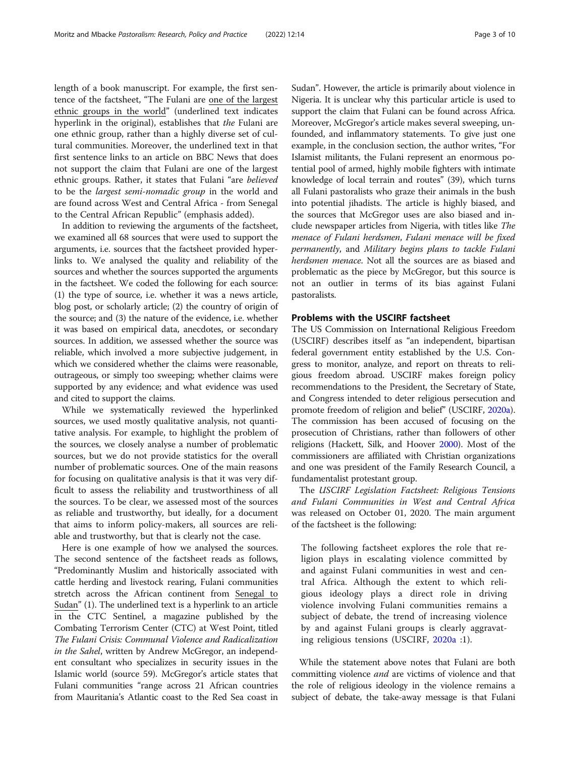length of a book manuscript. For example, the first sentence of the factsheet, "The Fulani are one of the largest ethnic groups in the world" (underlined text indicates hyperlink in the original), establishes that *the* Fulani are one ethnic group, rather than a highly diverse set of cultural communities. Moreover, the underlined text in that first sentence links to an article on BBC News that does not support the claim that Fulani are one of the largest ethnic groups. Rather, it states that Fulani "are believed to be the largest semi-nomadic group in the world and are found across West and Central Africa - from Senegal to the Central African Republic" (emphasis added).

In addition to reviewing the arguments of the factsheet, we examined all 68 sources that were used to support the arguments, i.e. sources that the factsheet provided hyperlinks to. We analysed the quality and reliability of the sources and whether the sources supported the arguments in the factsheet. We coded the following for each source: (1) the type of source, i.e. whether it was a news article, blog post, or scholarly article; (2) the country of origin of the source; and (3) the nature of the evidence, i.e. whether it was based on empirical data, anecdotes, or secondary sources. In addition, we assessed whether the source was reliable, which involved a more subjective judgement, in which we considered whether the claims were reasonable, outrageous, or simply too sweeping; whether claims were supported by any evidence; and what evidence was used and cited to support the claims.

While we systematically reviewed the hyperlinked sources, we used mostly qualitative analysis, not quantitative analysis. For example, to highlight the problem of the sources, we closely analyse a number of problematic sources, but we do not provide statistics for the overall number of problematic sources. One of the main reasons for focusing on qualitative analysis is that it was very difficult to assess the reliability and trustworthiness of all the sources. To be clear, we assessed most of the sources as reliable and trustworthy, but ideally, for a document that aims to inform policy-makers, all sources are reliable and trustworthy, but that is clearly not the case.

Here is one example of how we analysed the sources. The second sentence of the factsheet reads as follows, "Predominantly Muslim and historically associated with cattle herding and livestock rearing, Fulani communities stretch across the African continent from Senegal to Sudan" (1). The underlined text is a hyperlink to an article in the CTC Sentinel, a magazine published by the Combating Terrorism Center (CTC) at West Point, titled The Fulani Crisis: Communal Violence and Radicalization in the Sahel, written by Andrew McGregor, an independent consultant who specializes in security issues in the Islamic world (source 59). McGregor's article states that Fulani communities "range across 21 African countries from Mauritania's Atlantic coast to the Red Sea coast in

Sudan". However, the article is primarily about violence in Nigeria. It is unclear why this particular article is used to support the claim that Fulani can be found across Africa. Moreover, McGregor's article makes several sweeping, unfounded, and inflammatory statements. To give just one example, in the conclusion section, the author writes, "For Islamist militants, the Fulani represent an enormous potential pool of armed, highly mobile fighters with intimate knowledge of local terrain and routes" (39), which turns all Fulani pastoralists who graze their animals in the bush into potential jihadists. The article is highly biased, and the sources that McGregor uses are also biased and include newspaper articles from Nigeria, with titles like The menace of Fulani herdsmen, Fulani menace will be fixed permanently, and Military begins plans to tackle Fulani herdsmen menace. Not all the sources are as biased and problematic as the piece by McGregor, but this source is not an outlier in terms of its bias against Fulani pastoralists.

## Problems with the USCIRF factsheet

The US Commission on International Religious Freedom (USCIRF) describes itself as "an independent, bipartisan federal government entity established by the U.S. Congress to monitor, analyze, and report on threats to religious freedom abroad. USCIRF makes foreign policy recommendations to the President, the Secretary of State, and Congress intended to deter religious persecution and promote freedom of religion and belief" (USCIRF, [2020a](#page-9-0)). The commission has been accused of focusing on the prosecution of Christians, rather than followers of other religions (Hackett, Silk, and Hoover [2000](#page-8-0)). Most of the commissioners are affiliated with Christian organizations and one was president of the Family Research Council, a fundamentalist protestant group.

The USCIRF Legislation Factsheet: Religious Tensions and Fulani Communities in West and Central Africa was released on October 01, 2020. The main argument of the factsheet is the following:

The following factsheet explores the role that religion plays in escalating violence committed by and against Fulani communities in west and central Africa. Although the extent to which religious ideology plays a direct role in driving violence involving Fulani communities remains a subject of debate, the trend of increasing violence by and against Fulani groups is clearly aggravating religious tensions (USCIRF, [2020a](#page-9-0) :1).

While the statement above notes that Fulani are both committing violence and are victims of violence and that the role of religious ideology in the violence remains a subject of debate, the take-away message is that Fulani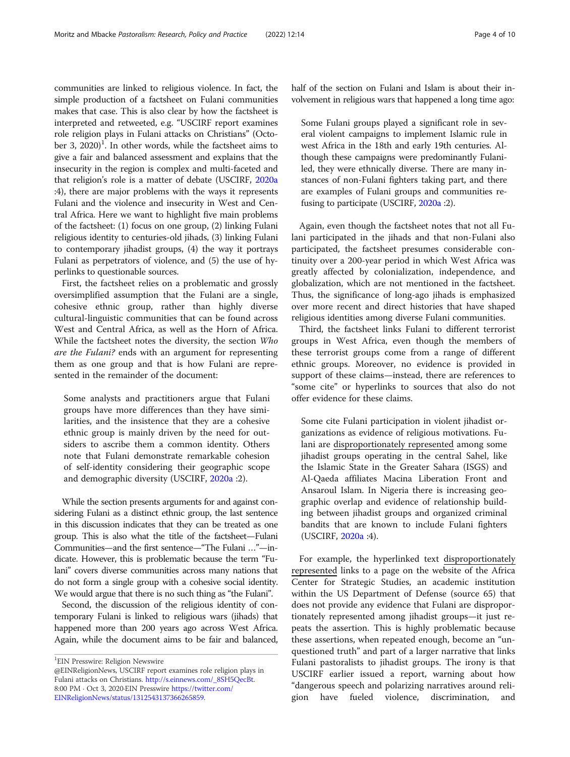communities are linked to religious violence. In fact, the simple production of a factsheet on Fulani communities makes that case. This is also clear by how the factsheet is interpreted and retweeted, e.g. "USCIRF report examines role religion plays in Fulani attacks on Christians" (October 3,  $2020$ <sup>1</sup>. In other words, while the factsheet aims to give a fair and balanced assessment and explains that the insecurity in the region is complex and multi-faceted and that religion's role is a matter of debate (USCIRF, [2020a](#page-9-0) :4), there are major problems with the ways it represents Fulani and the violence and insecurity in West and Central Africa. Here we want to highlight five main problems of the factsheet: (1) focus on one group, (2) linking Fulani religious identity to centuries-old jihads, (3) linking Fulani to contemporary jihadist groups, (4) the way it portrays Fulani as perpetrators of violence, and (5) the use of hyperlinks to questionable sources.

First, the factsheet relies on a problematic and grossly oversimplified assumption that the Fulani are a single, cohesive ethnic group, rather than highly diverse cultural-linguistic communities that can be found across West and Central Africa, as well as the Horn of Africa. While the factsheet notes the diversity, the section Who are the Fulani? ends with an argument for representing them as one group and that is how Fulani are represented in the remainder of the document:

Some analysts and practitioners argue that Fulani groups have more differences than they have similarities, and the insistence that they are a cohesive ethnic group is mainly driven by the need for outsiders to ascribe them a common identity. Others note that Fulani demonstrate remarkable cohesion of self-identity considering their geographic scope and demographic diversity (USCIRF, [2020a](#page-9-0) :2).

While the section presents arguments for and against considering Fulani as a distinct ethnic group, the last sentence in this discussion indicates that they can be treated as one group. This is also what the title of the factsheet—Fulani Communities—and the first sentence—"The Fulani …"—indicate. However, this is problematic because the term "Fulani" covers diverse communities across many nations that do not form a single group with a cohesive social identity. We would argue that there is no such thing as "the Fulani".

Second, the discussion of the religious identity of contemporary Fulani is linked to religious wars (jihads) that happened more than 200 years ago across West Africa. Again, while the document aims to be fair and balanced,

<sup>1</sup>EIN Presswire: Religion Newswire

half of the section on Fulani and Islam is about their involvement in religious wars that happened a long time ago:

Some Fulani groups played a significant role in several violent campaigns to implement Islamic rule in west Africa in the 18th and early 19th centuries. Although these campaigns were predominantly Fulaniled, they were ethnically diverse. There are many instances of non-Fulani fighters taking part, and there are examples of Fulani groups and communities refusing to participate (USCIRF, [2020a](#page-9-0) :2).

Again, even though the factsheet notes that not all Fulani participated in the jihads and that non-Fulani also participated, the factsheet presumes considerable continuity over a 200-year period in which West Africa was greatly affected by colonialization, independence, and globalization, which are not mentioned in the factsheet. Thus, the significance of long-ago jihads is emphasized over more recent and direct histories that have shaped religious identities among diverse Fulani communities.

Third, the factsheet links Fulani to different terrorist groups in West Africa, even though the members of these terrorist groups come from a range of different ethnic groups. Moreover, no evidence is provided in support of these claims—instead, there are references to "some cite" or hyperlinks to sources that also do not offer evidence for these claims.

Some cite Fulani participation in violent jihadist organizations as evidence of religious motivations. Fulani are disproportionately represented among some jihadist groups operating in the central Sahel, like the Islamic State in the Greater Sahara (ISGS) and Al-Qaeda affiliates Macina Liberation Front and Ansaroul Islam. In Nigeria there is increasing geographic overlap and evidence of relationship building between jihadist groups and organized criminal bandits that are known to include Fulani fighters (USCIRF, [2020a](#page-9-0) :4).

For example, the hyperlinked text disproportionately represented links to a page on the website of the Africa Center for Strategic Studies, an academic institution within the US Department of Defense (source 65) that does not provide any evidence that Fulani are disproportionately represented among jihadist groups—it just repeats the assertion. This is highly problematic because these assertions, when repeated enough, become an "unquestioned truth" and part of a larger narrative that links Fulani pastoralists to jihadist groups. The irony is that USCIRF earlier issued a report, warning about how "dangerous speech and polarizing narratives around religion have fueled violence, discrimination, and

<sup>@</sup>EINReligionNews, USCIRF report examines role religion plays in Fulani attacks on Christians. http://s.einnews.com/\_8SH5QecBt. 8:00 PM · Oct 3, 2020 EIN Presswire https://twitter.com/ [8:00](https://twitter.com/EINReligionNews/status/1312543137366265859) [PM](https://twitter.com/EINReligionNews/status/1312543137366265859) [·](https://twitter.com/EINReligionNews/status/1312543137366265859) OCT [3,](https://twitter.com/EINReligionNews/status/1312543137366265859) 2020 EIN PRESSWIPP https://twitter.com/<br>FINReligionNews/status/1312543137366265859  $\mathcal{C}$  . The ligitimate  $\mathcal{C}$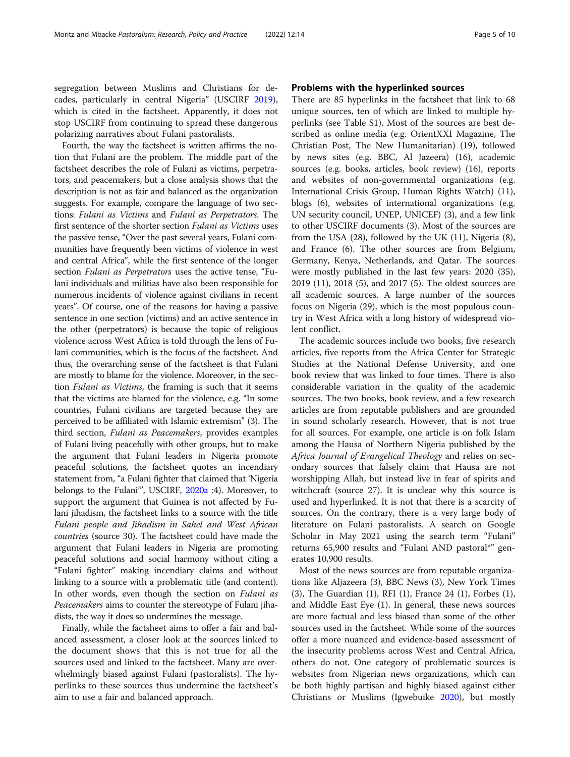segregation between Muslims and Christians for decades, particularly in central Nigeria" (USCIRF [2019](#page-9-0)), which is cited in the factsheet. Apparently, it does not stop USCIRF from continuing to spread these dangerous polarizing narratives about Fulani pastoralists.

Fourth, the way the factsheet is written affirms the notion that Fulani are the problem. The middle part of the factsheet describes the role of Fulani as victims, perpetrators, and peacemakers, but a close analysis shows that the description is not as fair and balanced as the organization suggests. For example, compare the language of two sections: Fulani as Victims and Fulani as Perpetrators. The first sentence of the shorter section Fulani as Victims uses the passive tense, "Over the past several years, Fulani communities have frequently been victims of violence in west and central Africa", while the first sentence of the longer section Fulani as Perpetrators uses the active tense, "Fulani individuals and militias have also been responsible for numerous incidents of violence against civilians in recent years". Of course, one of the reasons for having a passive sentence in one section (victims) and an active sentence in the other (perpetrators) is because the topic of religious violence across West Africa is told through the lens of Fulani communities, which is the focus of the factsheet. And thus, the overarching sense of the factsheet is that Fulani are mostly to blame for the violence. Moreover, in the section Fulani as Victims, the framing is such that it seems that the victims are blamed for the violence, e.g. "In some countries, Fulani civilians are targeted because they are perceived to be affiliated with Islamic extremism" (3). The third section, Fulani as Peacemakers, provides examples of Fulani living peacefully with other groups, but to make the argument that Fulani leaders in Nigeria promote peaceful solutions, the factsheet quotes an incendiary statement from, "a Fulani fighter that claimed that 'Nigeria belongs to the Fulani'", USCIRF, [2020a](#page-9-0) :4). Moreover, to support the argument that Guinea is not affected by Fulani jihadism, the factsheet links to a source with the title Fulani people and Jihadism in Sahel and West African countries (source 30). The factsheet could have made the argument that Fulani leaders in Nigeria are promoting peaceful solutions and social harmony without citing a "Fulani fighter" making incendiary claims and without linking to a source with a problematic title (and content). In other words, even though the section on Fulani as Peacemakers aims to counter the stereotype of Fulani jihadists, the way it does so undermines the message.

Finally, while the factsheet aims to offer a fair and balanced assessment, a closer look at the sources linked to the document shows that this is not true for all the sources used and linked to the factsheet. Many are overwhelmingly biased against Fulani (pastoralists). The hyperlinks to these sources thus undermine the factsheet's aim to use a fair and balanced approach.

## Problems with the hyperlinked sources

There are 85 hyperlinks in the factsheet that link to 68 unique sources, ten of which are linked to multiple hyperlinks (see Table S1). Most of the sources are best described as online media (e.g. OrientXXI Magazine, The Christian Post, The New Humanitarian) (19), followed by news sites (e.g. BBC, Al Jazeera) (16), academic sources (e.g. books, articles, book review) (16), reports and websites of non-governmental organizations (e.g. International Crisis Group, Human Rights Watch) (11), blogs (6), websites of international organizations (e.g. UN security council, UNEP, UNICEF) (3), and a few link to other USCIRF documents (3). Most of the sources are from the USA (28), followed by the UK (11), Nigeria (8), and France (6). The other sources are from Belgium, Germany, Kenya, Netherlands, and Qatar. The sources were mostly published in the last few years: 2020 (35), 2019 (11), 2018 (5), and 2017 (5). The oldest sources are all academic sources. A large number of the sources focus on Nigeria (29), which is the most populous country in West Africa with a long history of widespread violent conflict.

The academic sources include two books, five research articles, five reports from the Africa Center for Strategic Studies at the National Defense University, and one book review that was linked to four times. There is also considerable variation in the quality of the academic sources. The two books, book review, and a few research articles are from reputable publishers and are grounded in sound scholarly research. However, that is not true for all sources. For example, one article is on folk Islam among the Hausa of Northern Nigeria published by the Africa Journal of Evangelical Theology and relies on secondary sources that falsely claim that Hausa are not worshipping Allah, but instead live in fear of spirits and witchcraft (source 27). It is unclear why this source is used and hyperlinked. It is not that there is a scarcity of sources. On the contrary, there is a very large body of literature on Fulani pastoralists. A search on Google Scholar in May 2021 using the search term "Fulani" returns 65,900 results and "Fulani AND pastoral\*" generates 10,900 results.

Most of the news sources are from reputable organizations like Aljazeera (3), BBC News (3), New York Times (3), The Guardian (1), RFI (1), France 24 (1), Forbes (1), and Middle East Eye (1). In general, these news sources are more factual and less biased than some of the other sources used in the factsheet. While some of the sources offer a more nuanced and evidence-based assessment of the insecurity problems across West and Central Africa, others do not. One category of problematic sources is websites from Nigerian news organizations, which can be both highly partisan and highly biased against either Christians or Muslims (Igwebuike [2020\)](#page-8-0), but mostly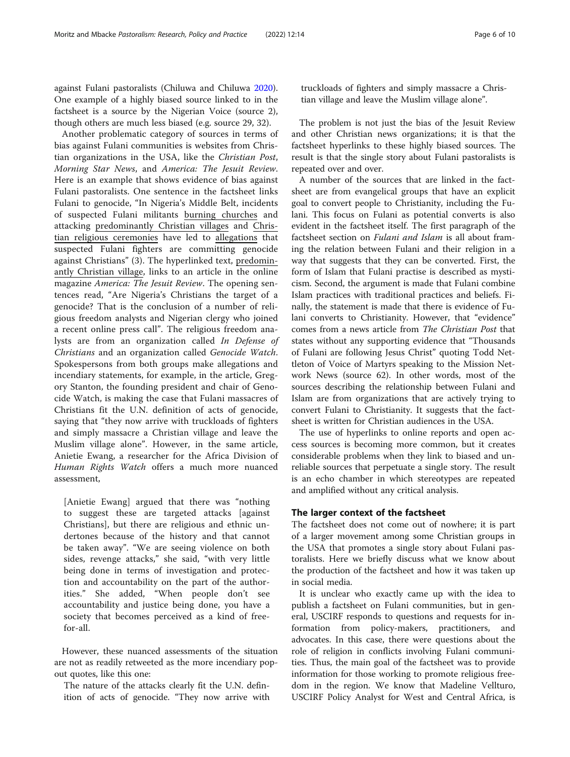against Fulani pastoralists (Chiluwa and Chiluwa [2020](#page-8-0)). One example of a highly biased source linked to in the factsheet is a source by the Nigerian Voice (source 2), though others are much less biased (e.g. source 29, 32).

Another problematic category of sources in terms of bias against Fulani communities is websites from Christian organizations in the USA, like the Christian Post, Morning Star News, and America: The Jesuit Review. Here is an example that shows evidence of bias against Fulani pastoralists. One sentence in the factsheet links Fulani to genocide, "In Nigeria's Middle Belt, incidents of suspected Fulani militants burning churches and attacking predominantly Christian villages and Christian religious ceremonies have led to allegations that suspected Fulani fighters are committing genocide against Christians" (3). The hyperlinked text, predominantly Christian village, links to an article in the online magazine America: The Jesuit Review. The opening sentences read, "Are Nigeria's Christians the target of a genocide? That is the conclusion of a number of religious freedom analysts and Nigerian clergy who joined a recent online press call". The religious freedom analysts are from an organization called In Defense of Christians and an organization called Genocide Watch. Spokespersons from both groups make allegations and incendiary statements, for example, in the article, Gregory Stanton, the founding president and chair of Genocide Watch, is making the case that Fulani massacres of Christians fit the U.N. definition of acts of genocide, saying that "they now arrive with truckloads of fighters and simply massacre a Christian village and leave the Muslim village alone". However, in the same article, Anietie Ewang, a researcher for the Africa Division of Human Rights Watch offers a much more nuanced assessment,

[Anietie Ewang] argued that there was "nothing to suggest these are targeted attacks [against Christians], but there are religious and ethnic undertones because of the history and that cannot be taken away". "We are seeing violence on both sides, revenge attacks," she said, "with very little being done in terms of investigation and protection and accountability on the part of the authorities." She added, "When people don't see accountability and justice being done, you have a society that becomes perceived as a kind of freefor-all.

However, these nuanced assessments of the situation are not as readily retweeted as the more incendiary popout quotes, like this one:

The nature of the attacks clearly fit the U.N. definition of acts of genocide. "They now arrive with truckloads of fighters and simply massacre a Christian village and leave the Muslim village alone".

The problem is not just the bias of the Jesuit Review and other Christian news organizations; it is that the factsheet hyperlinks to these highly biased sources. The result is that the single story about Fulani pastoralists is repeated over and over.

A number of the sources that are linked in the factsheet are from evangelical groups that have an explicit goal to convert people to Christianity, including the Fulani. This focus on Fulani as potential converts is also evident in the factsheet itself. The first paragraph of the factsheet section on Fulani and Islam is all about framing the relation between Fulani and their religion in a way that suggests that they can be converted. First, the form of Islam that Fulani practise is described as mysticism. Second, the argument is made that Fulani combine Islam practices with traditional practices and beliefs. Finally, the statement is made that there is evidence of Fulani converts to Christianity. However, that "evidence" comes from a news article from The Christian Post that states without any supporting evidence that "Thousands of Fulani are following Jesus Christ" quoting Todd Nettleton of Voice of Martyrs speaking to the Mission Network News (source 62). In other words, most of the sources describing the relationship between Fulani and Islam are from organizations that are actively trying to convert Fulani to Christianity. It suggests that the factsheet is written for Christian audiences in the USA.

The use of hyperlinks to online reports and open access sources is becoming more common, but it creates considerable problems when they link to biased and unreliable sources that perpetuate a single story. The result is an echo chamber in which stereotypes are repeated and amplified without any critical analysis.

## The larger context of the factsheet

The factsheet does not come out of nowhere; it is part of a larger movement among some Christian groups in the USA that promotes a single story about Fulani pastoralists. Here we briefly discuss what we know about the production of the factsheet and how it was taken up in social media.

It is unclear who exactly came up with the idea to publish a factsheet on Fulani communities, but in general, USCIRF responds to questions and requests for information from policy-makers, practitioners, and advocates. In this case, there were questions about the role of religion in conflicts involving Fulani communities. Thus, the main goal of the factsheet was to provide information for those working to promote religious freedom in the region. We know that Madeline Vellturo, USCIRF Policy Analyst for West and Central Africa, is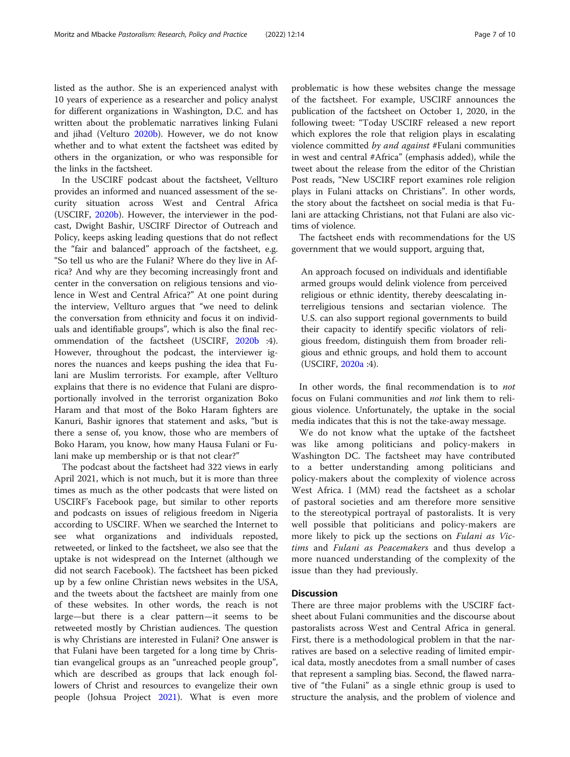listed as the author. She is an experienced analyst with 10 years of experience as a researcher and policy analyst for different organizations in Washington, D.C. and has written about the problematic narratives linking Fulani and jihad (Velturo [2020b\)](#page-9-0). However, we do not know whether and to what extent the factsheet was edited by others in the organization, or who was responsible for the links in the factsheet.

In the USCIRF podcast about the factsheet, Vellturo provides an informed and nuanced assessment of the security situation across West and Central Africa (USCIRF, [2020b\)](#page-9-0). However, the interviewer in the podcast, Dwight Bashir, USCIRF Director of Outreach and Policy, keeps asking leading questions that do not reflect the "fair and balanced" approach of the factsheet, e.g. "So tell us who are the Fulani? Where do they live in Africa? And why are they becoming increasingly front and center in the conversation on religious tensions and violence in West and Central Africa?" At one point during the interview, Vellturo argues that "we need to delink the conversation from ethnicity and focus it on individuals and identifiable groups", which is also the final recommendation of the factsheet (USCIRF, [2020b](#page-9-0) :4). However, throughout the podcast, the interviewer ignores the nuances and keeps pushing the idea that Fulani are Muslim terrorists. For example, after Vellturo explains that there is no evidence that Fulani are disproportionally involved in the terrorist organization Boko Haram and that most of the Boko Haram fighters are Kanuri, Bashir ignores that statement and asks, "but is there a sense of, you know, those who are members of Boko Haram, you know, how many Hausa Fulani or Fulani make up membership or is that not clear?"

The podcast about the factsheet had 322 views in early April 2021, which is not much, but it is more than three times as much as the other podcasts that were listed on USCIRF's Facebook page, but similar to other reports and podcasts on issues of religious freedom in Nigeria according to USCIRF. When we searched the Internet to see what organizations and individuals reposted, retweeted, or linked to the factsheet, we also see that the uptake is not widespread on the Internet (although we did not search Facebook). The factsheet has been picked up by a few online Christian news websites in the USA, and the tweets about the factsheet are mainly from one of these websites. In other words, the reach is not large—but there is a clear pattern—it seems to be retweeted mostly by Christian audiences. The question is why Christians are interested in Fulani? One answer is that Fulani have been targeted for a long time by Christian evangelical groups as an "unreached people group", which are described as groups that lack enough followers of Christ and resources to evangelize their own people (Johsua Project [2021](#page-9-0)). What is even more problematic is how these websites change the message of the factsheet. For example, USCIRF announces the publication of the factsheet on October 1, 2020, in the following tweet: "Today USCIRF released a new report which explores the role that religion plays in escalating violence committed by and against #Fulani communities in west and central #Africa" (emphasis added), while the tweet about the release from the editor of the Christian Post reads, "New USCIRF report examines role religion plays in Fulani attacks on Christians". In other words, the story about the factsheet on social media is that Fulani are attacking Christians, not that Fulani are also victims of violence.

The factsheet ends with recommendations for the US government that we would support, arguing that,

An approach focused on individuals and identifiable armed groups would delink violence from perceived religious or ethnic identity, thereby deescalating interreligious tensions and sectarian violence. The U.S. can also support regional governments to build their capacity to identify specific violators of religious freedom, distinguish them from broader religious and ethnic groups, and hold them to account (USCIRF, [2020a](#page-9-0) :4).

In other words, the final recommendation is to *not* focus on Fulani communities and not link them to religious violence. Unfortunately, the uptake in the social media indicates that this is not the take-away message.

We do not know what the uptake of the factsheet was like among politicians and policy-makers in Washington DC. The factsheet may have contributed to a better understanding among politicians and policy-makers about the complexity of violence across West Africa. I (MM) read the factsheet as a scholar of pastoral societies and am therefore more sensitive to the stereotypical portrayal of pastoralists. It is very well possible that politicians and policy-makers are more likely to pick up the sections on Fulani as Victims and Fulani as Peacemakers and thus develop a more nuanced understanding of the complexity of the issue than they had previously.

## **Discussion**

There are three major problems with the USCIRF factsheet about Fulani communities and the discourse about pastoralists across West and Central Africa in general. First, there is a methodological problem in that the narratives are based on a selective reading of limited empirical data, mostly anecdotes from a small number of cases that represent a sampling bias. Second, the flawed narrative of "the Fulani" as a single ethnic group is used to structure the analysis, and the problem of violence and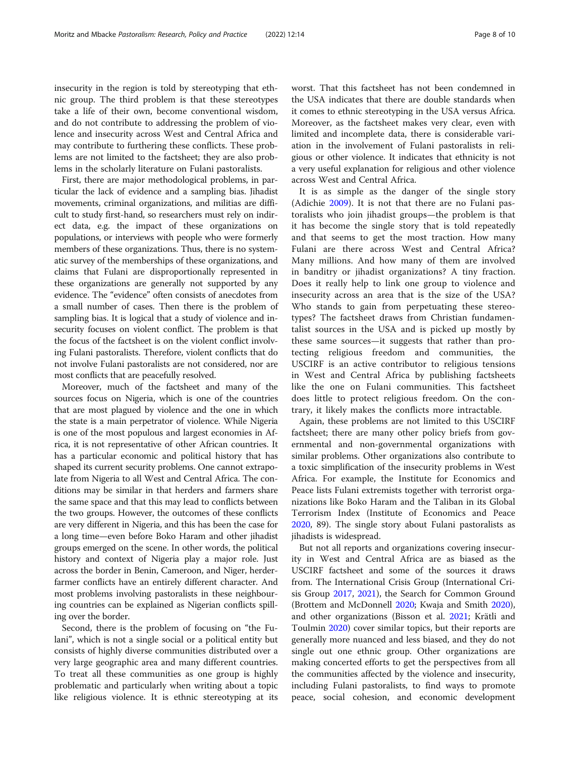insecurity in the region is told by stereotyping that ethnic group. The third problem is that these stereotypes take a life of their own, become conventional wisdom, and do not contribute to addressing the problem of violence and insecurity across West and Central Africa and may contribute to furthering these conflicts. These problems are not limited to the factsheet; they are also problems in the scholarly literature on Fulani pastoralists.

First, there are major methodological problems, in particular the lack of evidence and a sampling bias. Jihadist movements, criminal organizations, and militias are difficult to study first-hand, so researchers must rely on indirect data, e.g. the impact of these organizations on populations, or interviews with people who were formerly members of these organizations. Thus, there is no systematic survey of the memberships of these organizations, and claims that Fulani are disproportionally represented in these organizations are generally not supported by any evidence. The "evidence" often consists of anecdotes from a small number of cases. Then there is the problem of sampling bias. It is logical that a study of violence and insecurity focuses on violent conflict. The problem is that the focus of the factsheet is on the violent conflict involving Fulani pastoralists. Therefore, violent conflicts that do not involve Fulani pastoralists are not considered, nor are most conflicts that are peacefully resolved.

Moreover, much of the factsheet and many of the sources focus on Nigeria, which is one of the countries that are most plagued by violence and the one in which the state is a main perpetrator of violence. While Nigeria is one of the most populous and largest economies in Africa, it is not representative of other African countries. It has a particular economic and political history that has shaped its current security problems. One cannot extrapolate from Nigeria to all West and Central Africa. The conditions may be similar in that herders and farmers share the same space and that this may lead to conflicts between the two groups. However, the outcomes of these conflicts are very different in Nigeria, and this has been the case for a long time—even before Boko Haram and other jihadist groups emerged on the scene. In other words, the political history and context of Nigeria play a major role. Just across the border in Benin, Cameroon, and Niger, herderfarmer conflicts have an entirely different character. And most problems involving pastoralists in these neighbouring countries can be explained as Nigerian conflicts spilling over the border.

Second, there is the problem of focusing on "the Fulani", which is not a single social or a political entity but consists of highly diverse communities distributed over a very large geographic area and many different countries. To treat all these communities as one group is highly problematic and particularly when writing about a topic like religious violence. It is ethnic stereotyping at its worst. That this factsheet has not been condemned in the USA indicates that there are double standards when it comes to ethnic stereotyping in the USA versus Africa. Moreover, as the factsheet makes very clear, even with limited and incomplete data, there is considerable variation in the involvement of Fulani pastoralists in religious or other violence. It indicates that ethnicity is not a very useful explanation for religious and other violence across West and Central Africa.

It is as simple as the danger of the single story (Adichie [2009](#page-8-0)). It is not that there are no Fulani pastoralists who join jihadist groups—the problem is that it has become the single story that is told repeatedly and that seems to get the most traction. How many Fulani are there across West and Central Africa? Many millions. And how many of them are involved in banditry or jihadist organizations? A tiny fraction. Does it really help to link one group to violence and insecurity across an area that is the size of the USA? Who stands to gain from perpetuating these stereotypes? The factsheet draws from Christian fundamentalist sources in the USA and is picked up mostly by these same sources—it suggests that rather than protecting religious freedom and communities, the USCIRF is an active contributor to religious tensions in West and Central Africa by publishing factsheets like the one on Fulani communities. This factsheet does little to protect religious freedom. On the contrary, it likely makes the conflicts more intractable.

Again, these problems are not limited to this USCIRF factsheet; there are many other policy briefs from governmental and non-governmental organizations with similar problems. Other organizations also contribute to a toxic simplification of the insecurity problems in West Africa. For example, the Institute for Economics and Peace lists Fulani extremists together with terrorist organizations like Boko Haram and the Taliban in its Global Terrorism Index (Institute of Economics and Peace [2020](#page-8-0), 89). The single story about Fulani pastoralists as jihadists is widespread.

But not all reports and organizations covering insecurity in West and Central Africa are as biased as the USCIRF factsheet and some of the sources it draws from. The International Crisis Group (International Crisis Group [2017](#page-8-0), [2021](#page-8-0)), the Search for Common Ground (Brottem and McDonnell [2020](#page-8-0); Kwaja and Smith [2020](#page-9-0)), and other organizations (Bisson et al. [2021](#page-8-0); Krätli and Toulmin [2020](#page-9-0)) cover similar topics, but their reports are generally more nuanced and less biased, and they do not single out one ethnic group. Other organizations are making concerted efforts to get the perspectives from all the communities affected by the violence and insecurity, including Fulani pastoralists, to find ways to promote peace, social cohesion, and economic development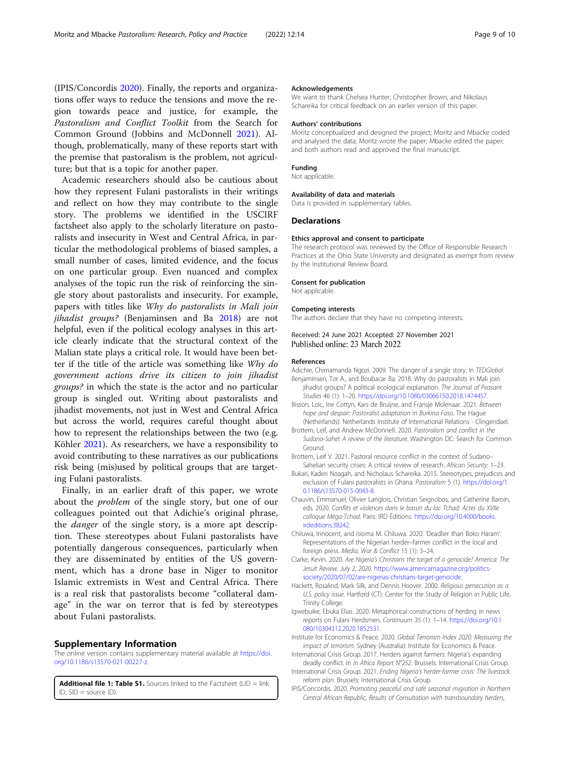<span id="page-8-0"></span>(IPIS/Concordis 2020). Finally, the reports and organizations offer ways to reduce the tensions and move the region towards peace and justice, for example, the Pastoralism and Conflict Toolkit from the Search for Common Ground (Jobbins and McDonnell [2021](#page-9-0)). Although, problematically, many of these reports start with the premise that pastoralism is the problem, not agriculture; but that is a topic for another paper.

Academic researchers should also be cautious about how they represent Fulani pastoralists in their writings and reflect on how they may contribute to the single story. The problems we identified in the USCIRF factsheet also apply to the scholarly literature on pastoralists and insecurity in West and Central Africa, in particular the methodological problems of biased samples, a small number of cases, limited evidence, and the focus on one particular group. Even nuanced and complex analyses of the topic run the risk of reinforcing the single story about pastoralists and insecurity. For example, papers with titles like Why do pastoralists in Mali join jihadist groups? (Benjaminsen and Ba 2018) are not helpful, even if the political ecology analyses in this article clearly indicate that the structural context of the Malian state plays a critical role. It would have been better if the title of the article was something like Why do government actions drive its citizen to join jihadist groups? in which the state is the actor and no particular group is singled out. Writing about pastoralists and jihadist movements, not just in West and Central Africa but across the world, requires careful thought about how to represent the relationships between the two (e.g. Köhler [2021](#page-9-0)). As researchers, we have a responsibility to avoid contributing to these narratives as our publications risk being (mis)used by political groups that are targeting Fulani pastoralists.

Finally, in an earlier draft of this paper, we wrote about the problem of the single story, but one of our colleagues pointed out that Adichie's original phrase, the danger of the single story, is a more apt description. These stereotypes about Fulani pastoralists have potentially dangerous consequences, particularly when they are disseminated by entities of the US government, which has a drone base in Niger to monitor Islamic extremists in West and Central Africa. There is a real risk that pastoralists become "collateral damage" in the war on terror that is fed by stereotypes about Fulani pastoralists.

#### Supplementary Information

The online version contains supplementary material available at [https://doi.](https://doi.org/10.1186/s13570-021-00227-z) [org/10.1186/s13570-021-00227-z.](https://doi.org/10.1186/s13570-021-00227-z)

Additional file 1: Table S1. Sources linked to the Factsheet (LID = link  $ID$ ,  $SID = source ID$ 

#### Acknowledgements

We want to thank Chelsea Hunter, Christopher Brown, and Nikolaus Schareika for critical feedback on an earlier version of this paper.

#### Authors' contributions

Moritz conceptualized and designed the project; Moritz and Mbacke coded and analysed the data; Moritz wrote the paper; Mbacke edited the paper; and both authors read and approved the final manuscript.

#### Funding

Not applicable.

#### Availability of data and materials

Data is provided in supplementary tables.

#### Declarations

#### Ethics approval and consent to participate

The research protocol was reviewed by the Office of Responsible Research Practices at the Ohio State University and designated as exempt from review by the Institutional Review Board.

#### Consent for publication

Not applicable.

#### Competing interests

The authors declare that they have no competing interests.

Received: 24 June 2021 Accepted: 27 November 2021 Published online: 23 March 2022

#### References

- Adichie, Chimamanda Ngozi. 2009. The danger of a single story. In TEDGlobal.
- Benjaminsen, Tor A., and Boubacar Ba. 2018. Why do pastoralists in Mali join jihadist groups? A political ecological explanation. The Journal of Peasant Studies 46 (1): 1–20. [https://doi.org/10.1080/03066150.2018.1474457.](https://doi.org/10.1080/03066150.2018.1474457)
- Bisson, Loïc, Ine Cottyn, Kars de Bruijne, and Fransje Molenaar. 2021. Between hope and despair: Pastoralist adaptation in Burkina Faso. The Hague (Netherlands): Netherlands Institute of International Relations - Clingendael.
- Brottem, Leif, and Andrew McDonnell. 2020. Pastoralism and conflict in the Sudano-Sahel: A review of the literature. Washington DC: Search for Common Ground.
- Brottem, Leif V. 2021. Pastoral resource conflict in the context of Sudano– Sahelian security crises: A critical review of research. African Security: 1–23.
- Bukari, Kaderi Noagah, and Nicholaus Schareika. 2015. Stereotypes, prejudices and exclusion of Fulani pastoralists in Ghana. Pastoralism 5 (1). [https://doi.org/1](https://doi.org/10.1186/s13570-015-0043-8) [0.1186/s13570-015-0043-8.](https://doi.org/10.1186/s13570-015-0043-8)
- Chauvin, Emmanuel, Olivier Langlois, Christian Seignobos, and Catherine Baroin, eds. 2020. Conflits et violences dans le bassin du lac Tchad: Actes du XVIIe colloque Méga-Tchad. Paris: IRD Éditions. [https://doi.org/10.4000/books.](https://doi.org/10.4000/books.irdeditions.38242) [irdeditions.38242.](https://doi.org/10.4000/books.irdeditions.38242)
- Chiluwa, Innocent, and Isioma M. Chiluwa. 2020. 'Deadlier than Boko Haram': Representations of the Nigerian herder–farmer conflict in the local and foreign press. Media, War & Conflict 15 (1): 3–24.
- Clarke, Kevin. 2020. Are Nigeria's Christians the target of a genocide? America: The Jesuit Review, July 2, 2020. [https://www.americamagazine.org/politics](https://www.americamagazine.org/politics-society/2020/07/02/are-nigerias-christians-target-genocide)[society/2020/07/02/are-nigerias-christians-target-genocide](https://www.americamagazine.org/politics-society/2020/07/02/are-nigerias-christians-target-genocide).
- Hackett, Rosalind, Mark Silk, and Dennis Hoover. 2000. Religious persecution as a U.S. policy issue. Hartford (CT): Center for the Study of Religion in Public Life, Trinity College.
- Igwebuike, Ebuka Elias. 2020. Metaphorical constructions of herding in news reports on Fulani Herdsmen. Continuum 35 (1): 1–14. [https://doi.org/10.1](https://doi.org/10.1080/10304312.2020.1852531) [080/10304312.2020.1852531.](https://doi.org/10.1080/10304312.2020.1852531)
- Institute for Economics & Peace. 2020. Global Terrorism Index 2020: Measuring the impact of terrorism. Sydney (Australia): Institute for Economics & Peace.
- International Crisis Group. 2017. Herders against farmers: Nigeria's expanding deadly conflict. In In Africa Report N°252. Brussels: International Crisis Group.
- International Crisis Group. 2021. Ending Nigeria's herder-farmer crisis: The livestock reform plan. Brussels: International Crisis Group.
- IPIS/Concordis. 2020. Promoting peaceful and safe seasonal migration in Northern Central African Republic, Results of Consultation with transboundary herders,